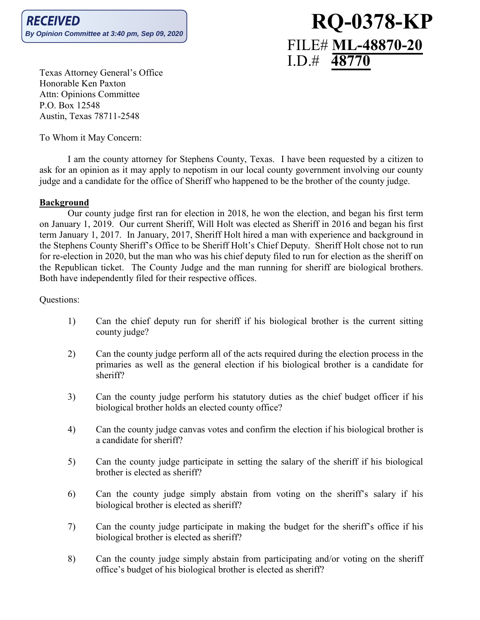# **RQ-0378-KP** FILE# **ML-48870-20** I.D.# **48770**

Texas Attorney General's Office Honorable Ken Paxton Attn: Opinions Committee P.O. Box 12548 Austin, Texas 78711-2548

To Whom it May Concern:

I am the county attorney for Stephens County, Texas. I have been requested by a citizen to ask for an opinion as it may apply to nepotism in our local county government involving our county judge and a candidate for the office of Sheriff who happened to be the brother of the county judge.

### **Background**

Our county judge first ran for election in 2018, he won the election, and began his first term on January 1, 2019. Our current Sheriff, Will Holt was elected as Sheriff in 2016 and began his first term January 1, 2017. In January, 2017, Sheriff Holt hired a man with experience and background in the Stephens County Sheriff's Office to be Sheriff Holt's Chief Deputy. Sheriff Holt chose not to run for re-election in 2020, but the man who was his chief deputy filed to run for election as the sheriff on the Republican ticket. The County Judge and the man running for sheriff are biological brothers. Both have independently filed for their respective offices.

Questions:

- 1) Can the chief deputy run for sheriff if his biological brother is the current sitting county judge?
- 2) Can the county judge perform all of the acts required during the election process in the primaries as well as the general election if his biological brother is a candidate for sheriff?
- 3) Can the county judge perform his statutory duties as the chief budget officer if his biological brother holds an elected county office?
- 4) Can the county judge canvas votes and confirm the election if his biological brother is a candidate for sheriff?
- 5) Can the county judge participate in setting the salary of the sheriff if his biological brother is elected as sheriff?
- 6) Can the county judge simply abstain from voting on the sheriff's salary if his biological brother is elected as sheriff?
- 7) Can the county judge participate in making the budget for the sheriff's office if his biological brother is elected as sheriff?
- 8) Can the county judge simply abstain from participating and/or voting on the sheriff office's budget of his biological brother is elected as sheriff?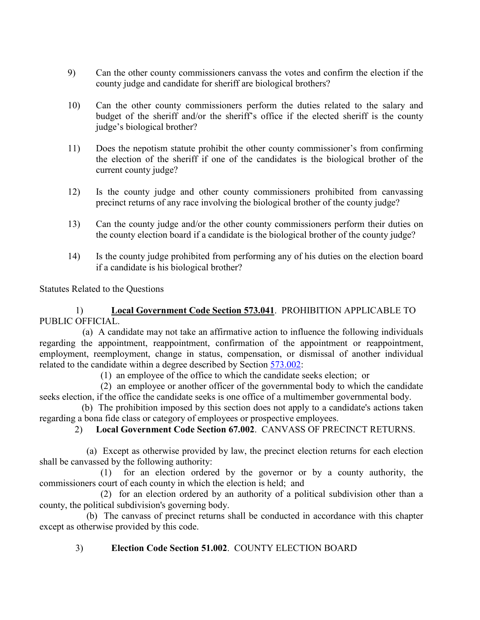- 9) Can the other county commissioners canvass the votes and confirm the election if the county judge and candidate for sheriff are biological brothers?
- 10) Can the other county commissioners perform the duties related to the salary and budget of the sheriff and/or the sheriff's office if the elected sheriff is the county judge's biological brother?
- 11) Does the nepotism statute prohibit the other county commissioner's from confirming the election of the sheriff if one of the candidates is the biological brother of the current county judge?
- 12) Is the county judge and other county commissioners prohibited from canvassing precinct returns of any race involving the biological brother of the county judge?
- 13) Can the county judge and/or the other county commissioners perform their duties on the county election board if a candidate is the biological brother of the county judge?
- 14) Is the county judge prohibited from performing any of his duties on the election board if a candidate is his biological brother?

Statutes Related to the Questions

1) **Local Government Code Section 573.041**. PROHIBITION APPLICABLE TO PUBLIC OFFICIAL.

 (a) A candidate may not take an affirmative action to influence the following individuals regarding the appointment, reappointment, confirmation of the appointment or reappointment, employment, reemployment, change in status, compensation, or dismissal of another individual related to the candidate within a degree described by Section [573.002:](http://www.statutes.legis.state.tx.us/GetStatute.aspx?Code=GV&Value=573.002)

(1) an employee of the office to which the candidate seeks election; or

(2) an employee or another officer of the governmental body to which the candidate seeks election, if the office the candidate seeks is one office of a multimember governmental body.

(b) The prohibition imposed by this section does not apply to a candidate's actions taken regarding a bona fide class or category of employees or prospective employees.

### 2) **Local Government Code Section 67.002**. CANVASS OF PRECINCT RETURNS.

 (a) Except as otherwise provided by law, the precinct election returns for each election shall be canvassed by the following authority:

(1) for an election ordered by the governor or by a county authority, the commissioners court of each county in which the election is held; and

(2) for an election ordered by an authority of a political subdivision other than a county, the political subdivision's governing body.

 (b) The canvass of precinct returns shall be conducted in accordance with this chapter except as otherwise provided by this code.

# 3) **Election Code Section 51.002**. COUNTY ELECTION BOARD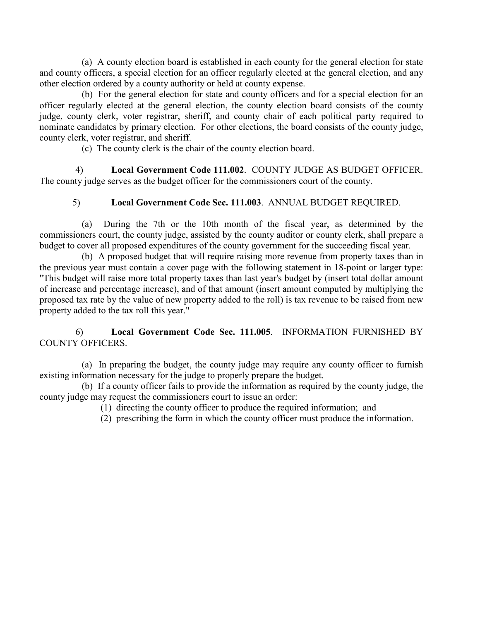(a) A county election board is established in each county for the general election for state and county officers, a special election for an officer regularly elected at the general election, and any other election ordered by a county authority or held at county expense.

 (b) For the general election for state and county officers and for a special election for an officer regularly elected at the general election, the county election board consists of the county judge, county clerk, voter registrar, sheriff, and county chair of each political party required to nominate candidates by primary election. For other elections, the board consists of the county judge, county clerk, voter registrar, and sheriff.

(c) The county clerk is the chair of the county election board.

4) **Local Government Code 111.002**. COUNTY JUDGE AS BUDGET OFFICER. The county judge serves as the budget officer for the commissioners court of the county.

## 5) **Local Government Code Sec. 111.003**. ANNUAL BUDGET REQUIRED.

 (a) During the 7th or the 10th month of the fiscal year, as determined by the commissioners court, the county judge, assisted by the county auditor or county clerk, shall prepare a budget to cover all proposed expenditures of the county government for the succeeding fiscal year.

 (b) A proposed budget that will require raising more revenue from property taxes than in the previous year must contain a cover page with the following statement in 18-point or larger type: "This budget will raise more total property taxes than last year's budget by (insert total dollar amount of increase and percentage increase), and of that amount (insert amount computed by multiplying the proposed tax rate by the value of new property added to the roll) is tax revenue to be raised from new property added to the tax roll this year."

## 6) **Local Government Code Sec. 111.005**. INFORMATION FURNISHED BY COUNTY OFFICERS.

 (a) In preparing the budget, the county judge may require any county officer to furnish existing information necessary for the judge to properly prepare the budget.

 (b) If a county officer fails to provide the information as required by the county judge, the county judge may request the commissioners court to issue an order:

- (1) directing the county officer to produce the required information; and
- (2) prescribing the form in which the county officer must produce the information.